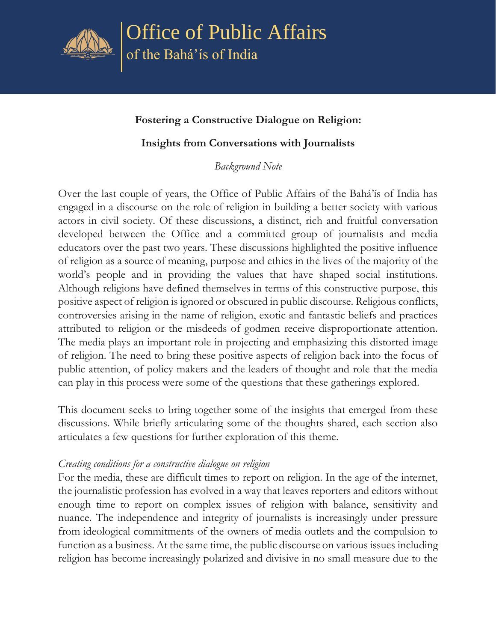

Office of Public Affairs of the Bahá'ís of India

## **Fostering a Constructive Dialogue on Religion:**

## **Insights from Conversations with Journalists**

*Background Note*

Over the last couple of years, the Office of Public Affairs of the Bahá'ís of India has engaged in a discourse on the role of religion in building a better society with various actors in civil society. Of these discussions, a distinct, rich and fruitful conversation developed between the Office and a committed group of journalists and media educators over the past two years. These discussions highlighted the positive influence of religion as a source of meaning, purpose and ethics in the lives of the majority of the world's people and in providing the values that have shaped social institutions. Although religions have defined themselves in terms of this constructive purpose, this positive aspect of religion is ignored or obscured in public discourse. Religious conflicts, controversies arising in the name of religion, exotic and fantastic beliefs and practices attributed to religion or the misdeeds of godmen receive disproportionate attention. The media plays an important role in projecting and emphasizing this distorted image of religion. The need to bring these positive aspects of religion back into the focus of public attention, of policy makers and the leaders of thought and role that the media can play in this process were some of the questions that these gatherings explored.

This document seeks to bring together some of the insights that emerged from these discussions. While briefly articulating some of the thoughts shared, each section also articulates a few questions for further exploration of this theme.

## *Creating conditions for a constructive dialogue on religion*

For the media, these are difficult times to report on religion. In the age of the internet, the journalistic profession has evolved in a way that leaves reporters and editors without enough time to report on complex issues of religion with balance, sensitivity and nuance. The independence and integrity of journalists is increasingly under pressure from ideological commitments of the owners of media outlets and the compulsion to function as a business. At the same time, the public discourse on various issues including religion has become increasingly polarized and divisive in no small measure due to the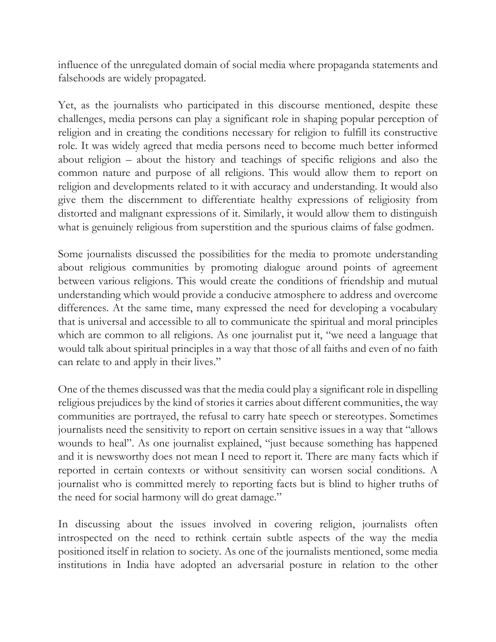influence of the unregulated domain of social media where propaganda statements and falsehoods are widely propagated.

Yet, as the journalists who participated in this discourse mentioned, despite these challenges, media persons can play a significant role in shaping popular perception of religion and in creating the conditions necessary for religion to fulfill its constructive role. It was widely agreed that media persons need to become much better informed about religion – about the history and teachings of specific religions and also the common nature and purpose of all religions. This would allow them to report on religion and developments related to it with accuracy and understanding. It would also give them the discernment to differentiate healthy expressions of religiosity from distorted and malignant expressions of it. Similarly, it would allow them to distinguish what is genuinely religious from superstition and the spurious claims of false godmen.

Some journalists discussed the possibilities for the media to promote understanding about religious communities by promoting dialogue around points of agreement between various religions. This would create the conditions of friendship and mutual understanding which would provide a conducive atmosphere to address and overcome differences. At the same time, many expressed the need for developing a vocabulary that is universal and accessible to all to communicate the spiritual and moral principles which are common to all religions. As one journalist put it, "we need a language that would talk about spiritual principles in a way that those of all faiths and even of no faith can relate to and apply in their lives."

One of the themes discussed was that the media could play a significant role in dispelling religious prejudices by the kind of stories it carries about different communities, the way communities are portrayed, the refusal to carry hate speech or stereotypes. Sometimes journalists need the sensitivity to report on certain sensitive issues in a way that "allows wounds to heal". As one journalist explained, "just because something has happened and it is newsworthy does not mean I need to report it. There are many facts which if reported in certain contexts or without sensitivity can worsen social conditions. A journalist who is committed merely to reporting facts but is blind to higher truths of the need for social harmony will do great damage."

In discussing about the issues involved in covering religion, journalists often introspected on the need to rethink certain subtle aspects of the way the media positioned itself in relation to society. As one of the journalists mentioned, some media institutions in India have adopted an adversarial posture in relation to the other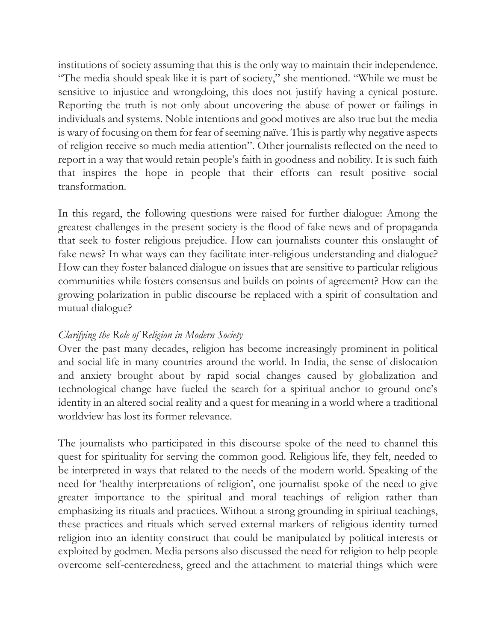institutions of society assuming that this is the only way to maintain their independence. "The media should speak like it is part of society," she mentioned. "While we must be sensitive to injustice and wrongdoing, this does not justify having a cynical posture. Reporting the truth is not only about uncovering the abuse of power or failings in individuals and systems. Noble intentions and good motives are also true but the media is wary of focusing on them for fear of seeming naïve. This is partly why negative aspects of religion receive so much media attention". Other journalists reflected on the need to report in a way that would retain people's faith in goodness and nobility. It is such faith that inspires the hope in people that their efforts can result positive social transformation.

In this regard, the following questions were raised for further dialogue: Among the greatest challenges in the present society is the flood of fake news and of propaganda that seek to foster religious prejudice. How can journalists counter this onslaught of fake news? In what ways can they facilitate inter-religious understanding and dialogue? How can they foster balanced dialogue on issues that are sensitive to particular religious communities while fosters consensus and builds on points of agreement? How can the growing polarization in public discourse be replaced with a spirit of consultation and mutual dialogue?

## *Clarifying the Role of Religion in Modern Society*

Over the past many decades, religion has become increasingly prominent in political and social life in many countries around the world. In India, the sense of dislocation and anxiety brought about by rapid social changes caused by globalization and technological change have fueled the search for a spiritual anchor to ground one's identity in an altered social reality and a quest for meaning in a world where a traditional worldview has lost its former relevance.

The journalists who participated in this discourse spoke of the need to channel this quest for spirituality for serving the common good. Religious life, they felt, needed to be interpreted in ways that related to the needs of the modern world. Speaking of the need for 'healthy interpretations of religion', one journalist spoke of the need to give greater importance to the spiritual and moral teachings of religion rather than emphasizing its rituals and practices. Without a strong grounding in spiritual teachings, these practices and rituals which served external markers of religious identity turned religion into an identity construct that could be manipulated by political interests or exploited by godmen. Media persons also discussed the need for religion to help people overcome self-centeredness, greed and the attachment to material things which were